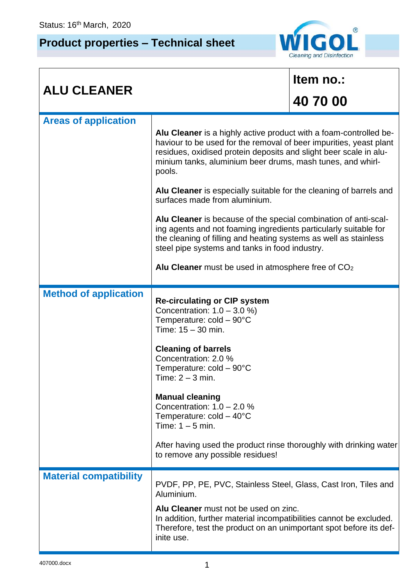## **Product properties – Technical sheet**



| <b>ALU CLEANER</b>           |                                                                                                                                                                                                                                                                                                                                                                                                                                                                                                                                                                                                                                                                                                                            | Item no.: |  |
|------------------------------|----------------------------------------------------------------------------------------------------------------------------------------------------------------------------------------------------------------------------------------------------------------------------------------------------------------------------------------------------------------------------------------------------------------------------------------------------------------------------------------------------------------------------------------------------------------------------------------------------------------------------------------------------------------------------------------------------------------------------|-----------|--|
|                              |                                                                                                                                                                                                                                                                                                                                                                                                                                                                                                                                                                                                                                                                                                                            | 40 70 00  |  |
| <b>Areas of application</b>  | Alu Cleaner is a highly active product with a foam-controlled be-<br>haviour to be used for the removal of beer impurities, yeast plant<br>residues, oxidised protein deposits and slight beer scale in alu-<br>minium tanks, aluminium beer drums, mash tunes, and whirl-<br>pools.<br>Alu Cleaner is especially suitable for the cleaning of barrels and<br>surfaces made from aluminium.<br>Alu Cleaner is because of the special combination of anti-scal-<br>ing agents and not foaming ingredients particularly suitable for<br>the cleaning of filling and heating systems as well as stainless<br>steel pipe systems and tanks in food industry.<br>Alu Cleaner must be used in atmosphere free of CO <sub>2</sub> |           |  |
| <b>Method of application</b> | <b>Re-circulating or CIP system</b><br>Concentration: $1.0 - 3.0 %$<br>Temperature: cold - 90°C<br>Time: $15 - 30$ min.<br><b>Cleaning of barrels</b><br>Concentration: 2.0 %<br>Temperature: $cold - 90^{\circ}C$<br>Time: $2 - 3$ min.<br><b>Manual cleaning</b><br>Concentration: $1.0 - 2.0 %$<br>Temperature: $cold - 40^{\circ}C$<br>Time: $1 - 5$ min.<br>$\Lambda$ ttor boying upod the product ringe thereughly with dripling                                                                                                                                                                                                                                                                                     |           |  |

## After having used the product rinse thoroughly with drinking water to remove any possible residues! **Material compatibility** PVDF, PP, PE, PVC, Stainless Steel, Glass, Cast Iron, Tiles and Aluminium. **Alu Cleaner** must not be used on zinc. In addition, further material incompatibilities cannot be excluded. Therefore, test the product on an unimportant spot before its definite use.